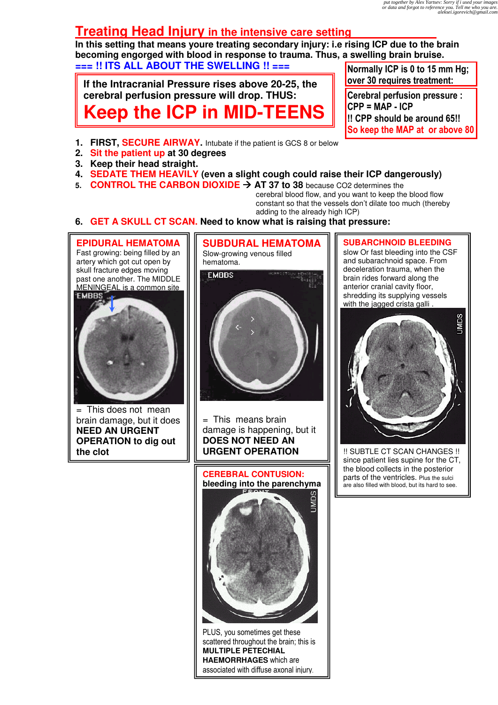# **Treating Head Injury in the intensive care setting**

**In this setting that means youre treating secondary injury: i.e rising ICP due to the brain becoming engorged with blood in response to trauma. Thus, a swelling brain bruise. === !! ITS ALL ABOUT THE SWELLING !! ===** 

**If the Intracranial Pressure rises above 20-25, the cerebral perfusion pressure will drop. THUS: Keep the ICP in MID-TEENS** Normally ICP is 0 to 15 mm Hg; over 30 requires treatment:

Cerebral perfusion pressure :  $CPP = MAP - ICP$ !! CPP should be around 65!! So keep the MAP at or above 80

- **1. FIRST, SECURE AIRWAY.** Intubate if the patient is GCS 8 or below
- **2. Sit the patient up at 30 degrees**
- **3. Keep their head straight.**
- **4. SEDATE THEM HEAVILY (even a slight cough could raise their ICP dangerously)**
- **5. CONTROL THE CARBON DIOXIDE AT 37 to 38** because CO2 determines the

cerebral blood flow, and you want to keep the blood flow constant so that the vessels don't dilate too much (thereby adding to the already high ICP)

#### **6. GET A SKULL CT SCAN. Need to know what is raising that pressure:**



= This does not mean brain damage, but it does **NEED AN URGENT OPERATION to dig out the clot**



= This means brain damage is happening, but it **DOES NOT NEED AN URGENT OPERATION**

**CEREBRAL CONTUSION: bleeding into the parenchyma**



PLUS, you sometimes get these scattered throughout the brain; this is **MULTIPLE PETECHIAL HAEMORRHAGES** which are associated with diffuse axonal injury.

**SUBARCHNOID BLEEDING**

slow Or fast bleeding into the CSF and subarachnoid space. From deceleration trauma, when the brain rides forward along the anterior cranial cavity floor, shredding its supplying vessels with the jagged crista galli



!! SUBTLE CT SCAN CHANGES !! since patient lies supine for the CT, the blood collects in the posterior parts of the ventricles. Plus the sulci are also filled with blood, but its hard to see.